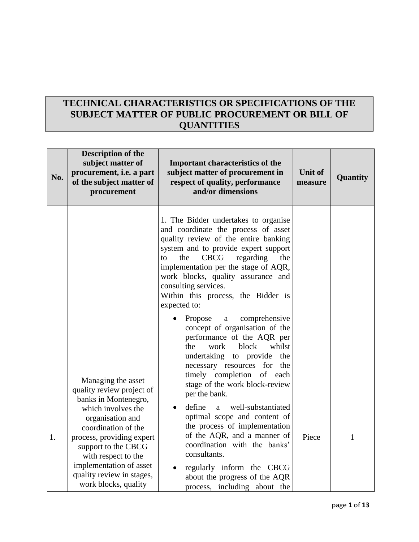# **TECHNICAL CHARACTERISTICS OR SPECIFICATIONS OF THE SUBJECT MATTER OF PUBLIC PROCUREMENT OR BILL OF QUANTITIES**

| No. | <b>Description of the</b><br>subject matter of<br>procurement, i.e. a part<br>of the subject matter of<br>procurement                                                                                                                                                                               | <b>Important characteristics of the</b><br>subject matter of procurement in<br>respect of quality, performance<br>and/or dimensions                                                                                                                                                                                                                                                                                                                                                                                                                                                                                                                                                                                                                                                                                                                                                                                                                            | <b>Unit of</b><br>measure | Quantity |
|-----|-----------------------------------------------------------------------------------------------------------------------------------------------------------------------------------------------------------------------------------------------------------------------------------------------------|----------------------------------------------------------------------------------------------------------------------------------------------------------------------------------------------------------------------------------------------------------------------------------------------------------------------------------------------------------------------------------------------------------------------------------------------------------------------------------------------------------------------------------------------------------------------------------------------------------------------------------------------------------------------------------------------------------------------------------------------------------------------------------------------------------------------------------------------------------------------------------------------------------------------------------------------------------------|---------------------------|----------|
| 1.  | Managing the asset<br>quality review project of<br>banks in Montenegro,<br>which involves the<br>organisation and<br>coordination of the<br>process, providing expert<br>support to the CBCG<br>with respect to the<br>implementation of asset<br>quality review in stages,<br>work blocks, quality | 1. The Bidder undertakes to organise<br>and coordinate the process of asset<br>quality review of the entire banking<br>system and to provide expert support<br><b>CBCG</b><br>regarding<br>the<br>the<br>$\mathsf{to}$<br>implementation per the stage of AQR,<br>work blocks, quality assurance and<br>consulting services.<br>Within this process, the Bidder is<br>expected to:<br>Propose<br>comprehensive<br>a<br>concept of organisation of the<br>performance of the AQR per<br>block<br>whilst<br>the<br>work<br>undertaking to provide<br>the<br>necessary resources for<br>the<br>timely completion<br>of each<br>stage of the work block-review<br>per the bank.<br>define<br>well-substantiated<br>a<br>optimal scope and content of<br>the process of implementation<br>of the AQR, and a manner of<br>coordination with the banks'<br>consultants.<br>regularly inform the CBCG<br>about the progress of the AQR<br>process, including about the | Piece                     | 1        |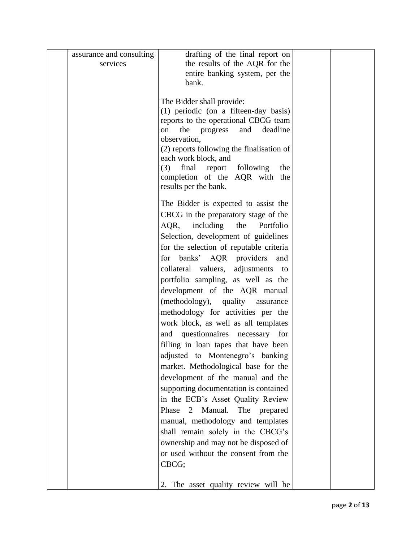| assurance and consulting | drafting of the final report on                       |  |
|--------------------------|-------------------------------------------------------|--|
| services                 | the results of the AQR for the                        |  |
|                          | entire banking system, per the                        |  |
|                          | bank.                                                 |  |
|                          |                                                       |  |
|                          | The Bidder shall provide:                             |  |
|                          | (1) periodic (on a fifteen-day basis)                 |  |
|                          | reports to the operational CBCG team                  |  |
|                          | the progress<br>deadline<br>on<br>and<br>observation, |  |
|                          | (2) reports following the finalisation of             |  |
|                          | each work block, and                                  |  |
|                          | (3)<br>final report following<br>the                  |  |
|                          | completion of the AQR with the                        |  |
|                          | results per the bank.                                 |  |
|                          |                                                       |  |
|                          | The Bidder is expected to assist the                  |  |
|                          | CBCG in the preparatory stage of the                  |  |
|                          | including<br>the<br>Portfolio<br>AQR,                 |  |
|                          | Selection, development of guidelines                  |  |
|                          | for the selection of reputable criteria               |  |
|                          | for banks' AQR providers<br>and                       |  |
|                          | collateral valuers, adjustments to                    |  |
|                          | portfolio sampling, as well as the                    |  |
|                          | development of the AQR manual                         |  |
|                          | (methodology), quality assurance                      |  |
|                          | methodology for activities per the                    |  |
|                          | work block, as well as all templates                  |  |
|                          | and questionnaires necessary for                      |  |
|                          | filling in loan tapes that have been                  |  |
|                          | adjusted to Montenegro's banking                      |  |
|                          | market. Methodological base for the                   |  |
|                          | development of the manual and the                     |  |
|                          | supporting documentation is contained                 |  |
|                          | in the ECB's Asset Quality Review                     |  |
|                          | Phase 2 Manual.<br>The prepared                       |  |
|                          | manual, methodology and templates                     |  |
|                          | shall remain solely in the CBCG's                     |  |
|                          | ownership and may not be disposed of                  |  |
|                          | or used without the consent from the                  |  |
|                          | CBCG;                                                 |  |
|                          |                                                       |  |
|                          | The asset quality review will be<br>2.                |  |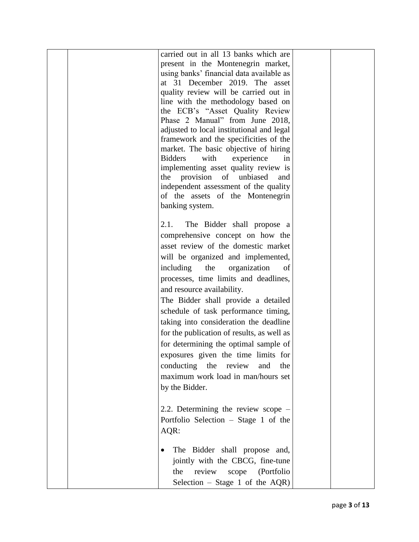| carried out in all 13 banks which are<br>present in the Montenegrin market,<br>using banks' financial data available as<br>at 31 December 2019. The asset<br>quality review will be carried out in<br>line with the methodology based on<br>the ECB's "Asset Quality Review<br>Phase 2 Manual" from June 2018,<br>adjusted to local institutional and legal<br>framework and the specificities of the<br>market. The basic objective of hiring<br><b>Bidders</b><br>with<br>experience<br>in<br>implementing asset quality review is<br>provision of<br>unbiased<br>the<br>and<br>independent assessment of the quality<br>of the assets of the Montenegrin<br>banking system. |  |
|--------------------------------------------------------------------------------------------------------------------------------------------------------------------------------------------------------------------------------------------------------------------------------------------------------------------------------------------------------------------------------------------------------------------------------------------------------------------------------------------------------------------------------------------------------------------------------------------------------------------------------------------------------------------------------|--|
| 2.1.<br>The Bidder shall propose a<br>comprehensive concept on how the<br>asset review of the domestic market<br>will be organized and implemented,<br>including<br>organization<br>the<br>of<br>processes, time limits and deadlines,<br>and resource availability.<br>The Bidder shall provide a detailed<br>schedule of task performance timing,<br>taking into consideration the deadline<br>for the publication of results, as well as<br>for determining the optimal sample of<br>exposures given the time limits for<br>conducting the review<br>and<br>the<br>maximum work load in man/hours set<br>by the Bidder.                                                     |  |
| 2.2. Determining the review scope -<br>Portfolio Selection – Stage 1 of the<br>AQR:<br>The Bidder shall propose and,<br>$\bullet$<br>jointly with the CBCG, fine-tune<br>review scope (Portfolio<br>the<br>Selection - Stage 1 of the $AQR$ )                                                                                                                                                                                                                                                                                                                                                                                                                                  |  |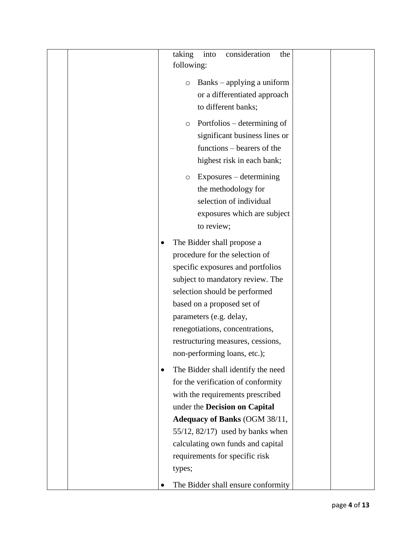| taking<br>into<br>consideration<br>the<br>following:                                                                                                                                                                                                                                                                                    |
|-----------------------------------------------------------------------------------------------------------------------------------------------------------------------------------------------------------------------------------------------------------------------------------------------------------------------------------------|
| Banks – applying a uniform<br>$\circ$<br>or a differentiated approach<br>to different banks;                                                                                                                                                                                                                                            |
| Portfolios – determining of<br>$\circ$<br>significant business lines or<br>functions – bearers of the<br>highest risk in each bank;                                                                                                                                                                                                     |
| Exposures – determining<br>O<br>the methodology for<br>selection of individual<br>exposures which are subject<br>to review;                                                                                                                                                                                                             |
| The Bidder shall propose a<br>procedure for the selection of<br>specific exposures and portfolios<br>subject to mandatory review. The<br>selection should be performed<br>based on a proposed set of<br>parameters (e.g. delay,<br>renegotiations, concentrations,<br>restructuring measures, cessions,<br>non-performing loans, etc.); |
| The Bidder shall identify the need<br>$\bullet$<br>for the verification of conformity<br>with the requirements prescribed<br>under the Decision on Capital<br>Adequacy of Banks (OGM 38/11,<br>$55/12$ , $82/17$ ) used by banks when<br>calculating own funds and capital<br>requirements for specific risk<br>types;                  |
| The Bidder shall ensure conformity                                                                                                                                                                                                                                                                                                      |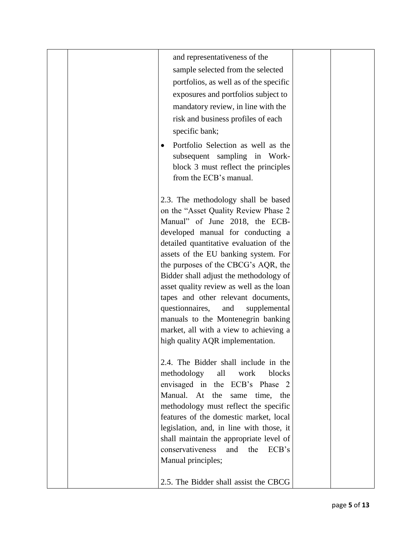|  | and representativeness of the<br>sample selected from the selected<br>portfolios, as well as of the specific<br>exposures and portfolios subject to<br>mandatory review, in line with the<br>risk and business profiles of each<br>specific bank;<br>Portfolio Selection as well as the<br>٠<br>subsequent sampling in Work-<br>block 3 must reflect the principles<br>from the ECB's manual.                                                                                                                                                                           |  |
|--|-------------------------------------------------------------------------------------------------------------------------------------------------------------------------------------------------------------------------------------------------------------------------------------------------------------------------------------------------------------------------------------------------------------------------------------------------------------------------------------------------------------------------------------------------------------------------|--|
|  | 2.3. The methodology shall be based<br>on the "Asset Quality Review Phase 2<br>Manual" of June 2018, the ECB-<br>developed manual for conducting a<br>detailed quantitative evaluation of the<br>assets of the EU banking system. For<br>the purposes of the CBCG's AQR, the<br>Bidder shall adjust the methodology of<br>asset quality review as well as the loan<br>tapes and other relevant documents,<br>questionnaires,<br>supplemental<br>and<br>manuals to the Montenegrin banking<br>market, all with a view to achieving a<br>high quality AQR implementation. |  |
|  | 2.4. The Bidder shall include in the<br>methodology<br>blocks<br>all<br>work<br>envisaged in the ECB's Phase 2<br>Manual. At the<br>same time, the<br>methodology must reflect the specific<br>features of the domestic market, local<br>legislation, and, in line with those, it<br>shall maintain the appropriate level of<br>conservativeness<br>and<br>the<br>ECB's<br>Manual principles;<br>2.5. The Bidder shall assist the CBCG                                                                                                                                  |  |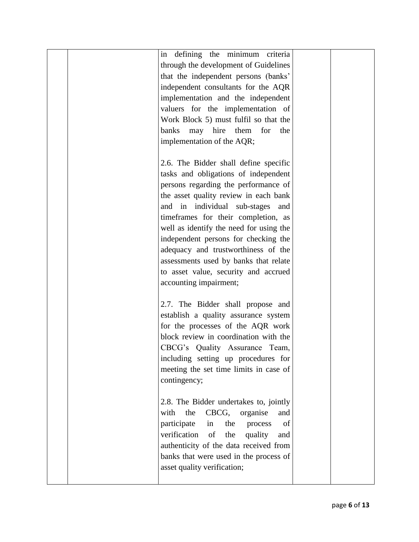| in defining the minimum criteria            |  |
|---------------------------------------------|--|
| through the development of Guidelines       |  |
| that the independent persons (banks'        |  |
| independent consultants for the AQR         |  |
| implementation and the independent          |  |
|                                             |  |
| valuers for the implementation of           |  |
| Work Block 5) must fulfil so that the       |  |
| may hire them for the<br>banks              |  |
| implementation of the AQR;                  |  |
|                                             |  |
| 2.6. The Bidder shall define specific       |  |
| tasks and obligations of independent        |  |
| persons regarding the performance of        |  |
| the asset quality review in each bank       |  |
| and in individual sub-stages and            |  |
| timeframes for their completion, as         |  |
| well as identify the need for using the     |  |
| independent persons for checking the        |  |
| adequacy and trustworthiness of the         |  |
| assessments used by banks that relate       |  |
| to asset value, security and accrued        |  |
| accounting impairment;                      |  |
|                                             |  |
| 2.7. The Bidder shall propose and           |  |
| establish a quality assurance system        |  |
| for the processes of the AQR work           |  |
| block review in coordination with the       |  |
| CBCG's Quality Assurance Team,              |  |
| including setting up procedures for         |  |
| meeting the set time limits in case of      |  |
| contingency;                                |  |
|                                             |  |
| 2.8. The Bidder undertakes to, jointly      |  |
| the<br>CBCG,<br>with<br>organise<br>and     |  |
| participate<br>the<br>of<br>in<br>process   |  |
| verification<br>of<br>the<br>quality<br>and |  |
| authenticity of the data received from      |  |
| banks that were used in the process of      |  |
| asset quality verification;                 |  |
|                                             |  |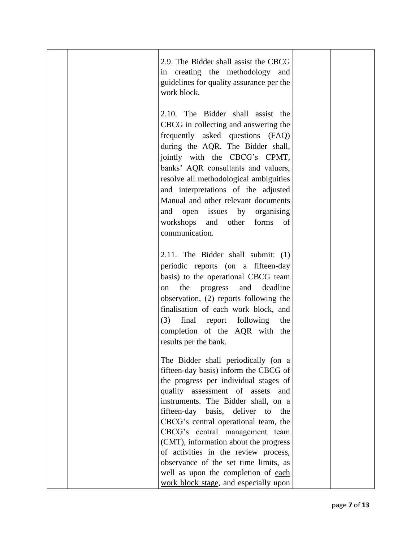| 2.9. The Bidder shall assist the CBCG<br>in creating the methodology and<br>guidelines for quality assurance per the<br>work block.                                                                                                                                                                                                                                                                                                                                                                                                   |  |
|---------------------------------------------------------------------------------------------------------------------------------------------------------------------------------------------------------------------------------------------------------------------------------------------------------------------------------------------------------------------------------------------------------------------------------------------------------------------------------------------------------------------------------------|--|
| 2.10. The Bidder shall assist the<br>CBCG in collecting and answering the<br>frequently asked questions (FAQ)<br>during the AQR. The Bidder shall,<br>jointly with the CBCG's CPMT,<br>banks' AQR consultants and valuers,<br>resolve all methodological ambiguities<br>and interpretations of the adjusted<br>Manual and other relevant documents<br>and open issues by organising<br>forms<br>workshops<br>other<br>and<br>of                                                                                                       |  |
| communication.<br>2.11. The Bidder shall submit: (1)<br>periodic reports (on a fifteen-day<br>basis) to the operational CBCG team<br>and deadline<br>the progress<br>on<br>observation, (2) reports following the<br>finalisation of each work block, and<br>final report following<br>(3)<br>the<br>completion of the AQR with the<br>results per the bank.                                                                                                                                                                          |  |
| The Bidder shall periodically (on a<br>fifteen-day basis) inform the CBCG of<br>the progress per individual stages of<br>quality assessment of assets<br>and<br>instruments. The Bidder shall, on a<br>fifteen-day basis,<br>deliver<br>the<br>to<br>CBCG's central operational team, the<br>CBCG's central management team<br>(CMT), information about the progress<br>of activities in the review process,<br>observance of the set time limits, as<br>well as upon the completion of each<br>work block stage, and especially upon |  |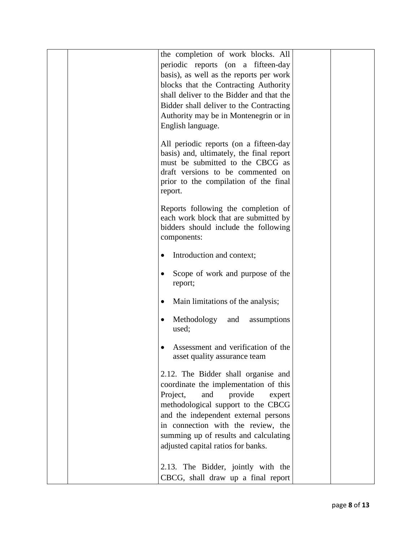| the completion of work blocks. All<br>periodic reports (on a fifteen-day<br>basis), as well as the reports per work<br>blocks that the Contracting Authority<br>shall deliver to the Bidder and that the<br>Bidder shall deliver to the Contracting<br>Authority may be in Montenegrin or in<br>English language.<br>All periodic reports (on a fifteen-day<br>basis) and, ultimately, the final report<br>must be submitted to the CBCG as |  |
|---------------------------------------------------------------------------------------------------------------------------------------------------------------------------------------------------------------------------------------------------------------------------------------------------------------------------------------------------------------------------------------------------------------------------------------------|--|
| draft versions to be commented on<br>prior to the compilation of the final<br>report.                                                                                                                                                                                                                                                                                                                                                       |  |
| Reports following the completion of<br>each work block that are submitted by<br>bidders should include the following<br>components:                                                                                                                                                                                                                                                                                                         |  |
| Introduction and context;<br>$\bullet$                                                                                                                                                                                                                                                                                                                                                                                                      |  |
| Scope of work and purpose of the<br>report;                                                                                                                                                                                                                                                                                                                                                                                                 |  |
| Main limitations of the analysis;<br>$\bullet$                                                                                                                                                                                                                                                                                                                                                                                              |  |
| Methodology<br>and<br>assumptions<br>used;                                                                                                                                                                                                                                                                                                                                                                                                  |  |
| Assessment and verification of the<br>asset quality assurance team                                                                                                                                                                                                                                                                                                                                                                          |  |
| 2.12. The Bidder shall organise and<br>coordinate the implementation of this<br>Project,<br>and<br>provide<br>expert<br>methodological support to the CBCG<br>and the independent external persons<br>in connection with the review, the<br>summing up of results and calculating<br>adjusted capital ratios for banks.                                                                                                                     |  |
| 2.13. The Bidder, jointly with the<br>CBCG, shall draw up a final report                                                                                                                                                                                                                                                                                                                                                                    |  |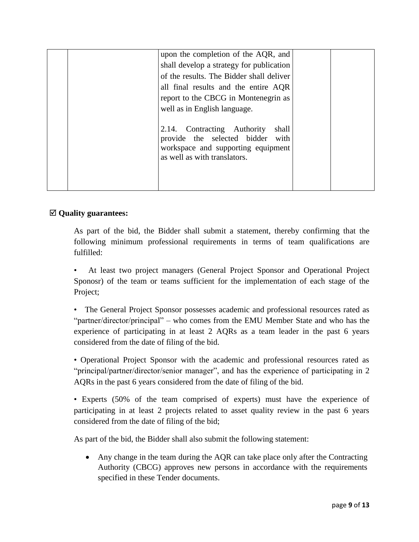| upon the completion of the AQR, and<br>shall develop a strategy for publication<br>of the results. The Bidder shall deliver<br>all final results and the entire AQR<br>report to the CBCG in Montenegrin as<br>well as in English language. |  |
|---------------------------------------------------------------------------------------------------------------------------------------------------------------------------------------------------------------------------------------------|--|
| 2.14. Contracting Authority<br>shall<br>provide the selected bidder with<br>workspace and supporting equipment<br>as well as with translators.                                                                                              |  |

## **Quality guarantees:**

As part of the bid, the Bidder shall submit a statement, thereby confirming that the following minimum professional requirements in terms of team qualifications are fulfilled:

• At least two project managers (General Project Sponsor and Operational Project Sponosr) of the team or teams sufficient for the implementation of each stage of the Project;

• The General Project Sponsor possesses academic and professional resources rated as "partner/director/principal" – who comes from the EMU Member State and who has the experience of participating in at least 2 AQRs as a team leader in the past 6 years considered from the date of filing of the bid.

• Operational Project Sponsor with the academic and professional resources rated as "principal/partner/director/senior manager", and has the experience of participating in 2 AQRs in the past 6 years considered from the date of filing of the bid.

• Experts (50% of the team comprised of experts) must have the experience of participating in at least 2 projects related to asset quality review in the past 6 years considered from the date of filing of the bid;

As part of the bid, the Bidder shall also submit the following statement:

 Any change in the team during the AQR can take place only after the Contracting Authority (CBCG) approves new persons in accordance with the requirements specified in these Tender documents.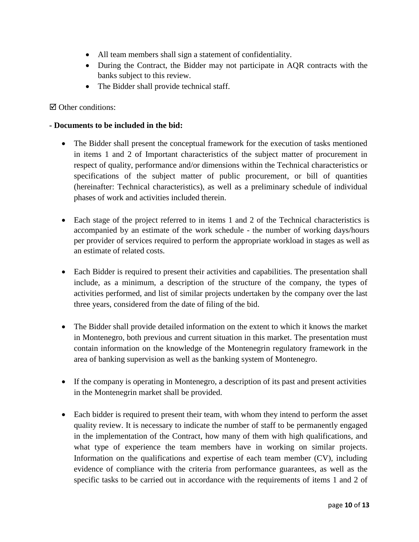- All team members shall sign a statement of confidentiality.
- During the Contract, the Bidder may not participate in AQR contracts with the banks subject to this review.
- The Bidder shall provide technical staff.

 $\boxtimes$  Other conditions:

### **- Documents to be included in the bid:**

- The Bidder shall present the conceptual framework for the execution of tasks mentioned in items 1 and 2 of Important characteristics of the subject matter of procurement in respect of quality, performance and/or dimensions within the Technical characteristics or specifications of the subject matter of public procurement, or bill of quantities (hereinafter: Technical characteristics), as well as a preliminary schedule of individual phases of work and activities included therein.
- Each stage of the project referred to in items 1 and 2 of the Technical characteristics is accompanied by an estimate of the work schedule - the number of working days/hours per provider of services required to perform the appropriate workload in stages as well as an estimate of related costs.
- Each Bidder is required to present their activities and capabilities. The presentation shall include, as a minimum, a description of the structure of the company, the types of activities performed, and list of similar projects undertaken by the company over the last three years, considered from the date of filing of the bid.
- The Bidder shall provide detailed information on the extent to which it knows the market in Montenegro, both previous and current situation in this market. The presentation must contain information on the knowledge of the Montenegrin regulatory framework in the area of banking supervision as well as the banking system of Montenegro.
- If the company is operating in Montenegro, a description of its past and present activities in the Montenegrin market shall be provided.
- Each bidder is required to present their team, with whom they intend to perform the asset quality review. It is necessary to indicate the number of staff to be permanently engaged in the implementation of the Contract, how many of them with high qualifications, and what type of experience the team members have in working on similar projects. Information on the qualifications and expertise of each team member (CV), including evidence of compliance with the criteria from performance guarantees, as well as the specific tasks to be carried out in accordance with the requirements of items 1 and 2 of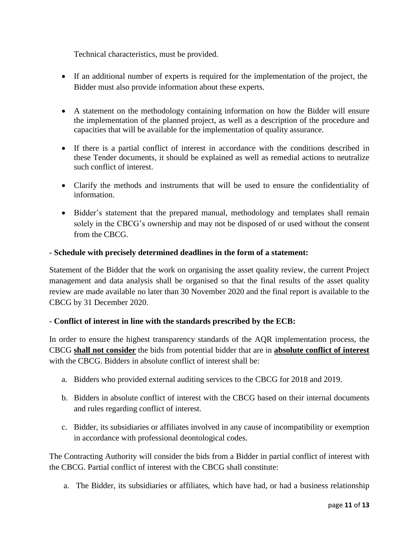Technical characteristics, must be provided.

- If an additional number of experts is required for the implementation of the project, the Bidder must also provide information about these experts.
- A statement on the methodology containing information on how the Bidder will ensure the implementation of the planned project, as well as a description of the procedure and capacities that will be available for the implementation of quality assurance.
- If there is a partial conflict of interest in accordance with the conditions described in these Tender documents, it should be explained as well as remedial actions to neutralize such conflict of interest.
- Clarify the methods and instruments that will be used to ensure the confidentiality of information.
- Bidder's statement that the prepared manual, methodology and templates shall remain solely in the CBCG's ownership and may not be disposed of or used without the consent from the CBCG.

### **- Schedule with precisely determined deadlines in the form of a statement:**

Statement of the Bidder that the work on organising the asset quality review, the current Project management and data analysis shall be organised so that the final results of the asset quality review are made available no later than 30 November 2020 and the final report is available to the CBCG by 31 December 2020.

#### **- Conflict of interest in line with the standards prescribed by the ECB:**

In order to ensure the highest transparency standards of the AQR implementation process, the CBCG **shall not consider** the bids from potential bidder that are in **absolute conflict of interest** with the CBCG. Bidders in absolute conflict of interest shall be:

- a. Bidders who provided external auditing services to the CBCG for 2018 and 2019.
- b. Bidders in absolute conflict of interest with the CBCG based on their internal documents and rules regarding conflict of interest.
- c. Bidder, its subsidiaries or affiliates involved in any cause of incompatibility or exemption in accordance with professional deontological codes.

The Contracting Authority will consider the bids from a Bidder in partial conflict of interest with the CBCG. Partial conflict of interest with the CBCG shall constitute:

a. The Bidder, its subsidiaries or affiliates, which have had, or had a business relationship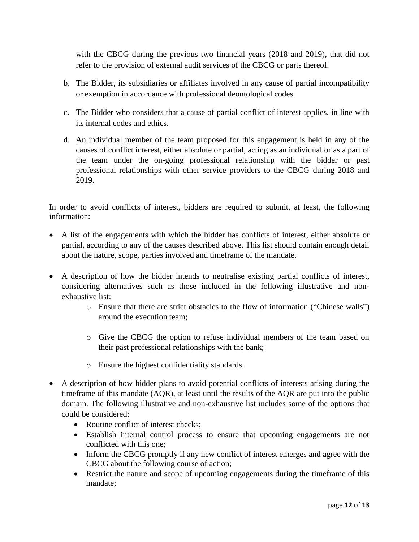with the CBCG during the previous two financial years (2018 and 2019), that did not refer to the provision of external audit services of the CBCG or parts thereof.

- b. The Bidder, its subsidiaries or affiliates involved in any cause of partial incompatibility or exemption in accordance with professional deontological codes.
- c. The Bidder who considers that a cause of partial conflict of interest applies, in line with its internal codes and ethics.
- d. An individual member of the team proposed for this engagement is held in any of the causes of conflict interest, either absolute or partial, acting as an individual or as a part of the team under the on-going professional relationship with the bidder or past professional relationships with other service providers to the CBCG during 2018 and 2019.

In order to avoid conflicts of interest, bidders are required to submit, at least, the following information:

- A list of the engagements with which the bidder has conflicts of interest, either absolute or partial, according to any of the causes described above. This list should contain enough detail about the nature, scope, parties involved and timeframe of the mandate.
- A description of how the bidder intends to neutralise existing partial conflicts of interest, considering alternatives such as those included in the following illustrative and nonexhaustive list:
	- o Ensure that there are strict obstacles to the flow of information ("Chinese walls") around the execution team;
	- o Give the CBCG the option to refuse individual members of the team based on their past professional relationships with the bank;
	- o Ensure the highest confidentiality standards.
- A description of how bidder plans to avoid potential conflicts of interests arising during the timeframe of this mandate (AQR), at least until the results of the AQR are put into the public domain. The following illustrative and non-exhaustive list includes some of the options that could be considered:
	- Routine conflict of interest checks:
	- Establish internal control process to ensure that upcoming engagements are not conflicted with this one;
	- Inform the CBCG promptly if any new conflict of interest emerges and agree with the CBCG about the following course of action;
	- Restrict the nature and scope of upcoming engagements during the timeframe of this mandate;